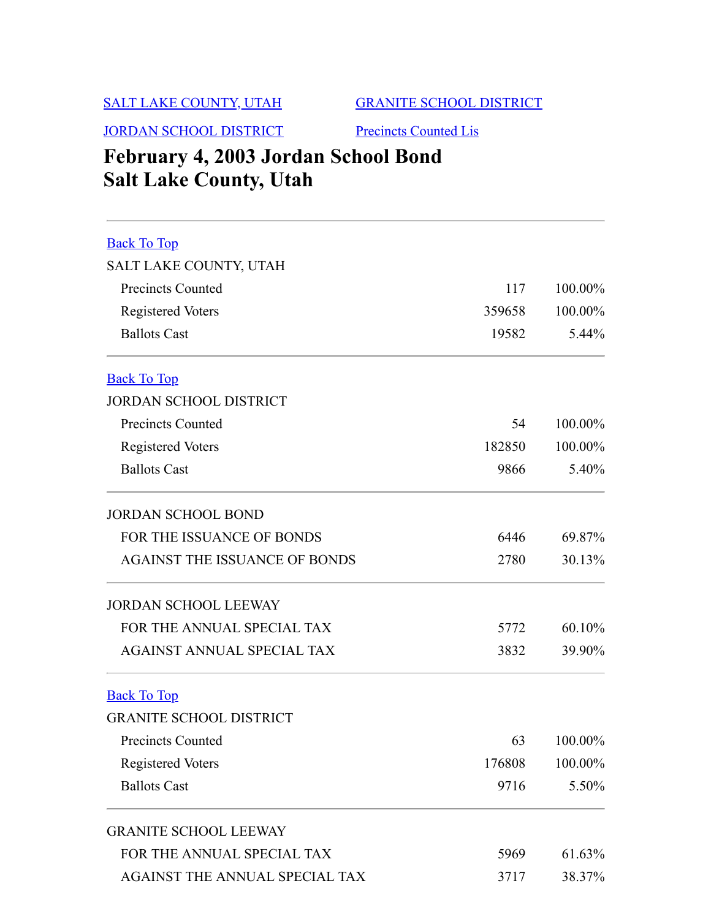## [SALT LAKE COUNTY, UTAH](#page-0-0)

[GRANITE SCHOOL DISTRICT](#page-0-2)

[JORDAN SCHOOL DISTRICT](#page-0-1)

## [Precincts Counted Lis](#page-1-0)

# **February 4, 2003 Jordan School Bond Salt Lake County, Utah**

<span id="page-0-2"></span><span id="page-0-1"></span><span id="page-0-0"></span>

| <b>Back To Top</b>                   |        |         |
|--------------------------------------|--------|---------|
| SALT LAKE COUNTY, UTAH               |        |         |
| Precincts Counted                    | 117    | 100.00% |
| <b>Registered Voters</b>             | 359658 | 100.00% |
| <b>Ballots Cast</b>                  | 19582  | 5.44%   |
| <b>Back To Top</b>                   |        |         |
| <b>JORDAN SCHOOL DISTRICT</b>        |        |         |
| <b>Precincts Counted</b>             | 54     | 100.00% |
| <b>Registered Voters</b>             | 182850 | 100.00% |
| <b>Ballots Cast</b>                  | 9866   | 5.40%   |
| <b>JORDAN SCHOOL BOND</b>            |        |         |
| FOR THE ISSUANCE OF BONDS            | 6446   | 69.87%  |
| <b>AGAINST THE ISSUANCE OF BONDS</b> | 2780   | 30.13%  |
| <b>JORDAN SCHOOL LEEWAY</b>          |        |         |
| FOR THE ANNUAL SPECIAL TAX           | 5772   | 60.10%  |
| AGAINST ANNUAL SPECIAL TAX           | 3832   | 39.90%  |
| <b>Back To Top</b>                   |        |         |
| <b>GRANITE SCHOOL DISTRICT</b>       |        |         |
| <b>Precincts Counted</b>             | 63     | 100.00% |
| <b>Registered Voters</b>             | 176808 | 100.00% |
| <b>Ballots Cast</b>                  | 9716   | 5.50%   |
| <b>GRANITE SCHOOL LEEWAY</b>         |        |         |
| FOR THE ANNUAL SPECIAL TAX           | 5969   | 61.63%  |
| AGAINST THE ANNUAL SPECIAL TAX       | 3717   | 38.37%  |